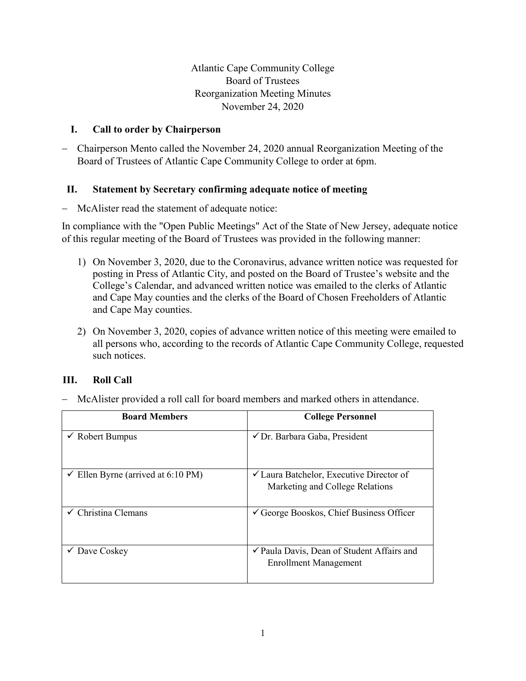Atlantic Cape Community College Board of Trustees Reorganization Meeting Minutes November 24, 2020

# **I. Call to order by Chairperson**

− Chairperson Mento called the November 24, 2020 annual Reorganization Meeting of the Board of Trustees of Atlantic Cape Community College to order at 6pm.

# **II. Statement by Secretary confirming adequate notice of meeting**

− McAlister read the statement of adequate notice:

In compliance with the "Open Public Meetings" Act of the State of New Jersey, adequate notice of this regular meeting of the Board of Trustees was provided in the following manner:

- 1) On November 3, 2020, due to the Coronavirus, advance written notice was requested for posting in Press of Atlantic City, and posted on the Board of Trustee's website and the College's Calendar, and advanced written notice was emailed to the clerks of Atlantic and Cape May counties and the clerks of the Board of Chosen Freeholders of Atlantic and Cape May counties.
- 2) On November 3, 2020, copies of advance written notice of this meeting were emailed to all persons who, according to the records of Atlantic Cape Community College, requested such notices.

# **III. Roll Call**

− McAlister provided a roll call for board members and marked others in attendance.

| <b>Board Members</b>                          | <b>College Personnel</b>                                                               |
|-----------------------------------------------|----------------------------------------------------------------------------------------|
| $\checkmark$ Robert Bumpus                    | √ Dr. Barbara Gaba, President                                                          |
| $\checkmark$ Ellen Byrne (arrived at 6:10 PM) | $\checkmark$ Laura Batchelor, Executive Director of<br>Marketing and College Relations |
| Christina Clemans                             | $\checkmark$ George Booskos, Chief Business Officer                                    |
| Dave Coskey                                   | ✔ Paula Davis, Dean of Student Affairs and<br><b>Enrollment Management</b>             |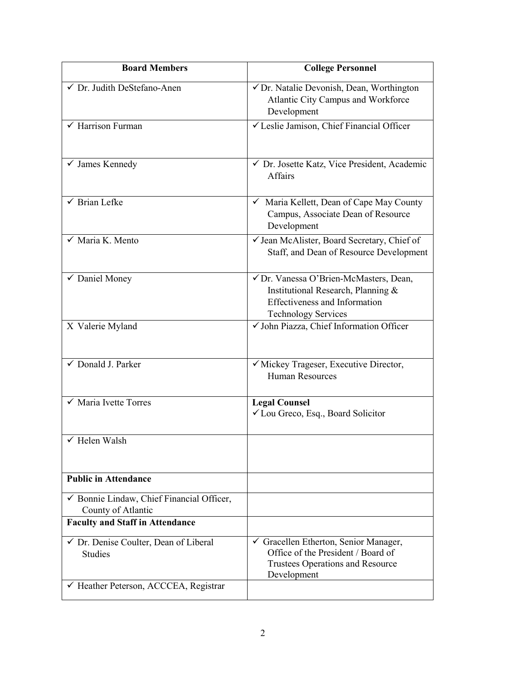| <b>Board Members</b>                                               | <b>College Personnel</b>                                                                                                                           |
|--------------------------------------------------------------------|----------------------------------------------------------------------------------------------------------------------------------------------------|
| √ Dr. Judith DeStefano-Anen                                        | √ Dr. Natalie Devonish, Dean, Worthington<br>Atlantic City Campus and Workforce<br>Development                                                     |
| $\sqrt{\frac{1}{2}}$ Harrison Furman                               | √ Leslie Jamison, Chief Financial Officer                                                                                                          |
| $\checkmark$ James Kennedy                                         | ✔ Dr. Josette Katz, Vice President, Academic<br>Affairs                                                                                            |
| $\checkmark$ Brian Lefke                                           | $\checkmark$ Maria Kellett, Dean of Cape May County<br>Campus, Associate Dean of Resource<br>Development                                           |
| $\checkmark$ Maria K. Mento                                        | √ Jean McAlister, Board Secretary, Chief of<br>Staff, and Dean of Resource Development                                                             |
| ✔ Daniel Money                                                     | √ Dr. Vanessa O'Brien-McMasters, Dean,<br>Institutional Research, Planning &<br><b>Effectiveness and Information</b><br><b>Technology Services</b> |
| X Valerie Myland                                                   | V John Piazza, Chief Information Officer                                                                                                           |
| ✓ Donald J. Parker                                                 | √ Mickey Trageser, Executive Director,<br><b>Human Resources</b>                                                                                   |
| $\checkmark$ Maria Ivette Torres                                   | <b>Legal Counsel</b><br>✓ Lou Greco, Esq., Board Solicitor                                                                                         |
| $\checkmark$ Helen Walsh                                           |                                                                                                                                                    |
| <b>Public in Attendance</b>                                        |                                                                                                                                                    |
| √ Bonnie Lindaw, Chief Financial Officer,<br>County of Atlantic    |                                                                                                                                                    |
| <b>Faculty and Staff in Attendance</b>                             |                                                                                                                                                    |
| $\checkmark$ Dr. Denise Coulter, Dean of Liberal<br><b>Studies</b> | Gracellen Etherton, Senior Manager,<br>Office of the President / Board of<br>Trustees Operations and Resource<br>Development                       |
| $\checkmark$ Heather Peterson, ACCCEA, Registrar                   |                                                                                                                                                    |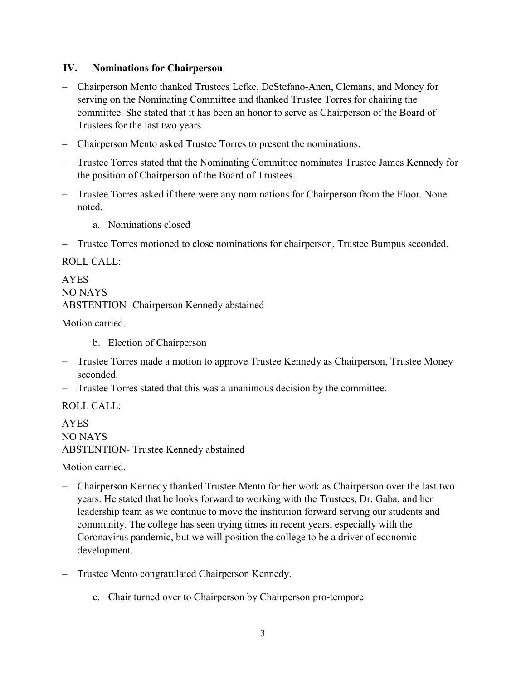### **IV. Nominations for Chairperson**

- − Chairperson Mento thanked Trustees Lefke, DeStefano-Anen, Clemans, and Money for serving on the Nominating Committee and thanked Trustee Torres for chairing the committee. She stated that it has been an honor to serve as Chairperson of the Board of Trustees for the last two years.
- − Chairperson Mento asked Trustee Torres to present the nominations.
- − Trustee Torres stated that the Nominating Committee nominates Trustee James Kennedy for the position of Chairperson of the Board of Trustees.
- Trustee Torres asked if there were any nominations for Chairperson from the Floor. None noted.
	- a. Nominations closed
- Trustee Torres motioned to close nominations for chairperson, Trustee Bumpus seconded.

ROLL CALL:

AYES NO NAYS ABSTENTION- Chairperson Kennedy abstained

Motion carried.

- b. Election of Chairperson
- − Trustee Torres made a motion to approve Trustee Kennedy as Chairperson, Trustee Money seconded.
- − Trustee Torres stated that this was a unanimous decision by the committee.

ROLL CALL:

AYES NO NAYS ABSTENTION- Trustee Kennedy abstained

Motion carried.

- − Chairperson Kennedy thanked Trustee Mento for her work as Chairperson over the last two years. He stated that he looks forward to working with the Trustees, Dr. Gaba, and her leadership team as we continue to move the institution forward serving our students and community. The college has seen trying times in recent years, especially with the Coronavirus pandemic, but we will position the college to be a driver of economic development.
- − Trustee Mento congratulated Chairperson Kennedy.
	- c. Chair turned over to Chairperson by Chairperson pro-tempore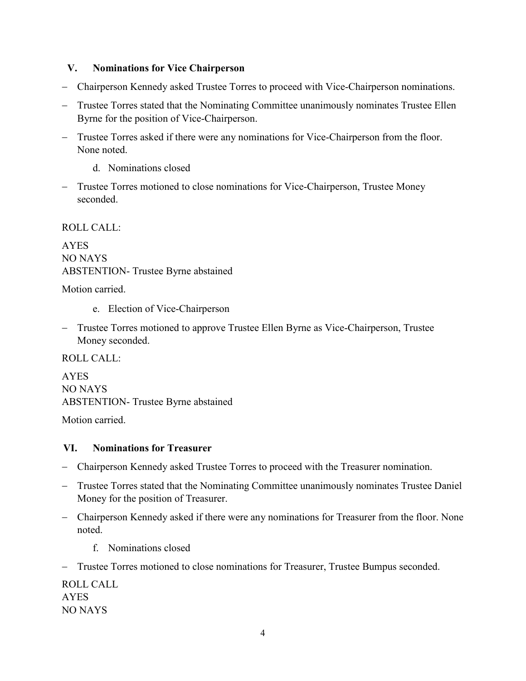## **V. Nominations for Vice Chairperson**

- − Chairperson Kennedy asked Trustee Torres to proceed with Vice-Chairperson nominations.
- − Trustee Torres stated that the Nominating Committee unanimously nominates Trustee Ellen Byrne for the position of Vice-Chairperson.
- − Trustee Torres asked if there were any nominations for Vice-Chairperson from the floor. None noted.
	- d. Nominations closed
- − Trustee Torres motioned to close nominations for Vice-Chairperson, Trustee Money seconded.

## ROLL CALL:

AYES NO NAYS ABSTENTION- Trustee Byrne abstained

Motion carried.

- e. Election of Vice-Chairperson
- − Trustee Torres motioned to approve Trustee Ellen Byrne as Vice-Chairperson, Trustee Money seconded.

ROLL CALL:

AYES NO NAYS ABSTENTION- Trustee Byrne abstained

Motion carried.

#### **VI. Nominations for Treasurer**

- − Chairperson Kennedy asked Trustee Torres to proceed with the Treasurer nomination.
- − Trustee Torres stated that the Nominating Committee unanimously nominates Trustee Daniel Money for the position of Treasurer.
- − Chairperson Kennedy asked if there were any nominations for Treasurer from the floor. None noted.
	- f. Nominations closed
- − Trustee Torres motioned to close nominations for Treasurer, Trustee Bumpus seconded.

ROLL CALL AYES NO NAYS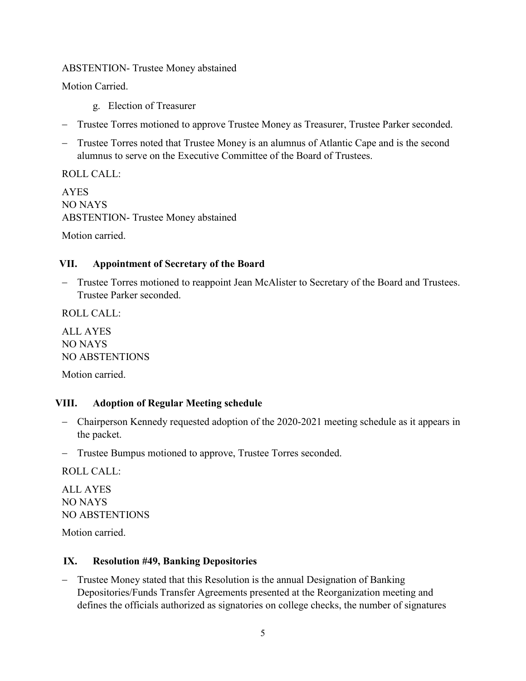## ABSTENTION- Trustee Money abstained

Motion Carried.

- g. Election of Treasurer
- − Trustee Torres motioned to approve Trustee Money as Treasurer, Trustee Parker seconded.
- Trustee Torres noted that Trustee Money is an alumnus of Atlantic Cape and is the second alumnus to serve on the Executive Committee of the Board of Trustees.

ROLL CALL: AYES NO NAYS ABSTENTION- Trustee Money abstained Motion carried.

## **VII. Appointment of Secretary of the Board**

− Trustee Torres motioned to reappoint Jean McAlister to Secretary of the Board and Trustees. Trustee Parker seconded.

ROLL CALL:

ALL AYES NO NAYS NO ABSTENTIONS

Motion carried.

#### **VIII. Adoption of Regular Meeting schedule**

- − Chairperson Kennedy requested adoption of the 2020-2021 meeting schedule as it appears in the packet.
- − Trustee Bumpus motioned to approve, Trustee Torres seconded.

ROLL CALL:

ALL AYES NO NAYS NO ABSTENTIONS

Motion carried.

#### **IX. Resolution #49, Banking Depositories**

− Trustee Money stated that this Resolution is the annual Designation of Banking Depositories/Funds Transfer Agreements presented at the Reorganization meeting and defines the officials authorized as signatories on college checks, the number of signatures